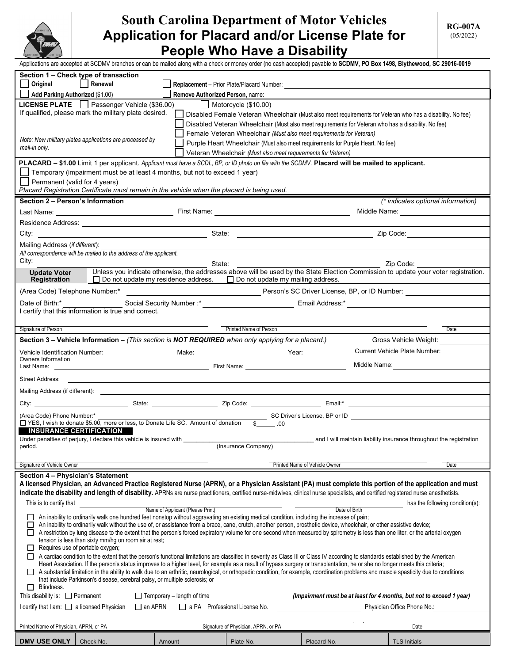

# **South Carolina Department of Motor Vehicles Application for Placard and/or License Plate for People Who Have a Disability**

Applications are accepted at SCDMV branches or can be mailed along with a check or money order (no cash accepted) payable to **SCDMV, PO Box 1498, Blythewood, SC 29016-0019**

| Section 1 – Check type of transaction                                                                                                                                                                                                                                 |           |                                   |                                                                                                    |                                               |                                                                                                                                                  |  |
|-----------------------------------------------------------------------------------------------------------------------------------------------------------------------------------------------------------------------------------------------------------------------|-----------|-----------------------------------|----------------------------------------------------------------------------------------------------|-----------------------------------------------|--------------------------------------------------------------------------------------------------------------------------------------------------|--|
| Original                                                                                                                                                                                                                                                              | Renewal   |                                   |                                                                                                    |                                               |                                                                                                                                                  |  |
| Add Parking Authorized (\$1.00)                                                                                                                                                                                                                                       |           | Remove Authorized Person, name:   |                                                                                                    |                                               |                                                                                                                                                  |  |
| LICENSE PLATE   Passenger Vehicle (\$36.00)<br>$\Box$ Motorcycle (\$10.00)                                                                                                                                                                                            |           |                                   |                                                                                                    |                                               |                                                                                                                                                  |  |
| If qualified, please mark the military plate desired.<br>Disabled Female Veteran Wheelchair (Must also meet requirements for Veteran who has a disability. No fee)                                                                                                    |           |                                   |                                                                                                    |                                               |                                                                                                                                                  |  |
| Disabled Veteran Wheelchair (Must also meet requirements for Veteran who has a disability. No fee)                                                                                                                                                                    |           |                                   |                                                                                                    |                                               |                                                                                                                                                  |  |
| Female Veteran Wheelchair (Must also meet requirements for Veteran)                                                                                                                                                                                                   |           |                                   |                                                                                                    |                                               |                                                                                                                                                  |  |
| Note: New military plates applications are processed by<br>Purple Heart Wheelchair (Must also meet requirements for Purple Heart. No fee)<br>mail-in only.                                                                                                            |           |                                   |                                                                                                    |                                               |                                                                                                                                                  |  |
| Veteran Wheelchair (Must also meet requirements for Veteran)                                                                                                                                                                                                          |           |                                   |                                                                                                    |                                               |                                                                                                                                                  |  |
| <b>PLACARD – \$1.00</b> Limit 1 per applicant. Applicant must have a SCDL, BP, or ID photo on file with the SCDMV. Placard will be mailed to applicant.                                                                                                               |           |                                   |                                                                                                    |                                               |                                                                                                                                                  |  |
| Temporary (impairment must be at least 4 months, but not to exceed 1 year)                                                                                                                                                                                            |           |                                   |                                                                                                    |                                               |                                                                                                                                                  |  |
| Permanent (valid for 4 years)                                                                                                                                                                                                                                         |           |                                   |                                                                                                    |                                               |                                                                                                                                                  |  |
| Placard Registration Certificate must remain in the vehicle when the placard is being used.                                                                                                                                                                           |           |                                   |                                                                                                    |                                               |                                                                                                                                                  |  |
| Section 2 - Person's Information                                                                                                                                                                                                                                      |           |                                   |                                                                                                    |                                               | (* indicates optional information)                                                                                                               |  |
|                                                                                                                                                                                                                                                                       |           |                                   |                                                                                                    |                                               | Middle Name: ________________                                                                                                                    |  |
|                                                                                                                                                                                                                                                                       |           |                                   |                                                                                                    |                                               |                                                                                                                                                  |  |
| City:                                                                                                                                                                                                                                                                 |           |                                   |                                                                                                    |                                               |                                                                                                                                                  |  |
|                                                                                                                                                                                                                                                                       |           |                                   |                                                                                                    |                                               |                                                                                                                                                  |  |
| Mailing Address (if different):<br>All correspondence will be mailed to the address of the applicant.                                                                                                                                                                 |           |                                   |                                                                                                    |                                               |                                                                                                                                                  |  |
| City:                                                                                                                                                                                                                                                                 |           |                                   |                                                                                                    |                                               |                                                                                                                                                  |  |
| <b>Update Voter</b>                                                                                                                                                                                                                                                   |           | State:                            |                                                                                                    |                                               | Zip Code:<br>Unless you indicate otherwise, the addresses above will be used by the State Election Commission to update your voter registration. |  |
| Registration                                                                                                                                                                                                                                                          |           |                                   | □ Do not update my residence address. □ Do not update my mailing address.                          |                                               |                                                                                                                                                  |  |
| (Area Code) Telephone Number:*                                                                                                                                                                                                                                        |           |                                   |                                                                                                    | Person's SC Driver License, BP, or ID Number: |                                                                                                                                                  |  |
| Date of Birth:*                                                                                                                                                                                                                                                       |           |                                   |                                                                                                    |                                               |                                                                                                                                                  |  |
| I certify that this information is true and correct.                                                                                                                                                                                                                  |           |                                   |                                                                                                    |                                               |                                                                                                                                                  |  |
|                                                                                                                                                                                                                                                                       |           |                                   |                                                                                                    |                                               |                                                                                                                                                  |  |
| Signature of Person                                                                                                                                                                                                                                                   |           |                                   | Printed Name of Person                                                                             |                                               | Date                                                                                                                                             |  |
|                                                                                                                                                                                                                                                                       |           |                                   | Section 3 – Vehicle Information – (This section is NOT REQUIRED when only applying for a placard.) |                                               | Gross Vehicle Weight:                                                                                                                            |  |
|                                                                                                                                                                                                                                                                       |           |                                   |                                                                                                    |                                               | Current Vehicle Plate Number:                                                                                                                    |  |
| Owners Information                                                                                                                                                                                                                                                    |           |                                   |                                                                                                    | Middle Name:                                  |                                                                                                                                                  |  |
|                                                                                                                                                                                                                                                                       |           |                                   |                                                                                                    |                                               |                                                                                                                                                  |  |
| Street Address:                                                                                                                                                                                                                                                       |           |                                   |                                                                                                    |                                               |                                                                                                                                                  |  |
|                                                                                                                                                                                                                                                                       |           |                                   |                                                                                                    |                                               |                                                                                                                                                  |  |
|                                                                                                                                                                                                                                                                       |           |                                   |                                                                                                    |                                               |                                                                                                                                                  |  |
| SC Driver's License, BP or ID <b>CONFIDENT</b> SC Driver's License, BP or ID<br>(Area Code) Phone Number:*                                                                                                                                                            |           |                                   |                                                                                                    |                                               |                                                                                                                                                  |  |
| □ YES, I wish to donate \$5.00, more or less, to Donate Life SC. Amount of donation<br>$\$\quad .00$                                                                                                                                                                  |           |                                   |                                                                                                    |                                               |                                                                                                                                                  |  |
| <b>INSURANCE CERTIFICATION</b>                                                                                                                                                                                                                                        |           |                                   |                                                                                                    |                                               |                                                                                                                                                  |  |
| Under penalties of perjury, I declare this vehicle is insured with<br>and I will maintain liability insurance throughout the registration<br>(Insurance Company)<br>period.                                                                                           |           |                                   |                                                                                                    |                                               |                                                                                                                                                  |  |
|                                                                                                                                                                                                                                                                       |           |                                   |                                                                                                    |                                               |                                                                                                                                                  |  |
| Signature of Vehicle Owner                                                                                                                                                                                                                                            |           |                                   |                                                                                                    | Printed Name of Vehicle Owner                 | Date                                                                                                                                             |  |
|                                                                                                                                                                                                                                                                       |           |                                   |                                                                                                    |                                               |                                                                                                                                                  |  |
| Section 4 - Physician's Statement<br>A licensed Physician, an Advanced Practice Registered Nurse (APRN), or a Physician Assistant (PA) must complete this portion of the application and must                                                                         |           |                                   |                                                                                                    |                                               |                                                                                                                                                  |  |
| indicate the disability and length of disability. APRNs are nurse practitioners, certified nurse-midwives, clinical nurse specialists, and certified registered nurse anesthetists.                                                                                   |           |                                   |                                                                                                    |                                               |                                                                                                                                                  |  |
|                                                                                                                                                                                                                                                                       |           |                                   |                                                                                                    |                                               |                                                                                                                                                  |  |
| This is to certify that<br>has the following condition(s):<br>Name of Applicant (Please Print)<br>Date of Birth                                                                                                                                                       |           |                                   |                                                                                                    |                                               |                                                                                                                                                  |  |
| An inability to ordinarily walk one hundred feet nonstop without aggravating an existing medical condition, including the increase of pain;                                                                                                                           |           |                                   |                                                                                                    |                                               |                                                                                                                                                  |  |
| An inability to ordinarily walk without the use of, or assistance from a brace, cane, crutch, another person, prosthetic device, wheelchair, or other assistive device;                                                                                               |           |                                   |                                                                                                    |                                               |                                                                                                                                                  |  |
| A restriction by lung disease to the extent that the person's forced expiratory volume for one second when measured by spirometry is less than one liter, or the arterial oxygen<br>tension is less than sixty mm/hg on room air at rest;                             |           |                                   |                                                                                                    |                                               |                                                                                                                                                  |  |
| Requires use of portable oxygen;<br>$\Box$                                                                                                                                                                                                                            |           |                                   |                                                                                                    |                                               |                                                                                                                                                  |  |
| A cardiac condition to the extent that the person's functional limitations are classified in severity as Class III or Class IV according to standards established by the American                                                                                     |           |                                   |                                                                                                    |                                               |                                                                                                                                                  |  |
| Heart Association. If the person's status improves to a higher level, for example as a result of bypass surgery or transplantation, he or she no longer meets this criteria;                                                                                          |           |                                   |                                                                                                    |                                               |                                                                                                                                                  |  |
| A substantial limitation in the ability to walk due to an arthritic, neurological, or orthopedic condition, for example, coordination problems and muscle spasticity due to conditions<br>that include Parkinson's disease, cerebral palsy, or multiple sclerosis; or |           |                                   |                                                                                                    |                                               |                                                                                                                                                  |  |
|                                                                                                                                                                                                                                                                       |           |                                   |                                                                                                    |                                               |                                                                                                                                                  |  |
| Blindness.<br>Ш<br>This disability is: $\Box$ Permanent                                                                                                                                                                                                               |           | $\Box$ Temporary - length of time |                                                                                                    |                                               |                                                                                                                                                  |  |
| (Impairment must be at least for 4 months, but not to exceed 1 year)<br>I certify that I am:<br><u>a</u> licensed Physician<br>$\Box$ an APRN<br>$\Box$ a PA Professional License No.<br>Physician Office Phone No.:                                                  |           |                                   |                                                                                                    |                                               |                                                                                                                                                  |  |
|                                                                                                                                                                                                                                                                       |           |                                   |                                                                                                    |                                               |                                                                                                                                                  |  |
| Printed Name of Physician, APRN, or PA<br>Signature of Physician, APRN, or PA<br>Date                                                                                                                                                                                 |           |                                   |                                                                                                    |                                               |                                                                                                                                                  |  |
|                                                                                                                                                                                                                                                                       |           |                                   |                                                                                                    |                                               |                                                                                                                                                  |  |
| <b>DMV USE ONLY</b>                                                                                                                                                                                                                                                   | Check No. | Amount                            | Plate No.                                                                                          | Placard No.                                   | <b>TLS Initials</b>                                                                                                                              |  |